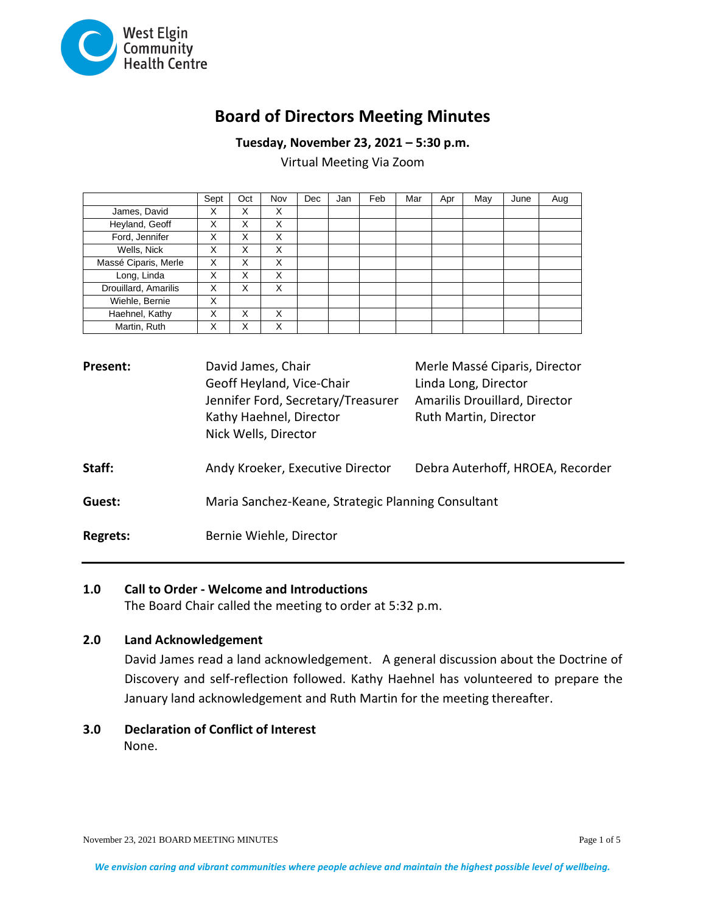

# **Board of Directors Meeting Minutes**

**Tuesday, November 23, 2021 – 5:30 p.m.**

Virtual Meeting Via Zoom

|                      | Sept | Oct | Nov | <b>Dec</b> | Jan | Feb | Mar | Apr | May | June | Aug |
|----------------------|------|-----|-----|------------|-----|-----|-----|-----|-----|------|-----|
| James, David         | X    | X   | X   |            |     |     |     |     |     |      |     |
| Heyland, Geoff       | x    | X   | X   |            |     |     |     |     |     |      |     |
| Ford, Jennifer       | X    | X   | X   |            |     |     |     |     |     |      |     |
| Wells, Nick          | X    | X   | X   |            |     |     |     |     |     |      |     |
| Massé Ciparis, Merle | X    | X   | X   |            |     |     |     |     |     |      |     |
| Long, Linda          | X    | X   | X   |            |     |     |     |     |     |      |     |
| Drouillard, Amarilis | X    | X   | X   |            |     |     |     |     |     |      |     |
| Wiehle, Bernie       | X    |     |     |            |     |     |     |     |     |      |     |
| Haehnel, Kathy       | x    | X   | X   |            |     |     |     |     |     |      |     |
| Martin, Ruth         | X    | X   | X   |            |     |     |     |     |     |      |     |

| <b>Present:</b> | David James, Chair<br>Geoff Heyland, Vice-Chair<br>Jennifer Ford, Secretary/Treasurer<br>Kathy Haehnel, Director<br>Nick Wells, Director | Merle Massé Ciparis, Director<br>Linda Long, Director<br>Amarilis Drouillard, Director<br>Ruth Martin, Director |  |  |
|-----------------|------------------------------------------------------------------------------------------------------------------------------------------|-----------------------------------------------------------------------------------------------------------------|--|--|
| Staff:          | Andy Kroeker, Executive Director                                                                                                         | Debra Auterhoff, HROEA, Recorder                                                                                |  |  |
| Guest:          | Maria Sanchez-Keane, Strategic Planning Consultant                                                                                       |                                                                                                                 |  |  |
| <b>Regrets:</b> | Bernie Wiehle, Director                                                                                                                  |                                                                                                                 |  |  |

#### **1.0 Call to Order - Welcome and Introductions**

The Board Chair called the meeting to order at 5:32 p.m.

#### **2.0 Land Acknowledgement**

David James read a land acknowledgement. A general discussion about the Doctrine of Discovery and self-reflection followed. Kathy Haehnel has volunteered to prepare the January land acknowledgement and Ruth Martin for the meeting thereafter.

# **3.0 Declaration of Conflict of Interest** None.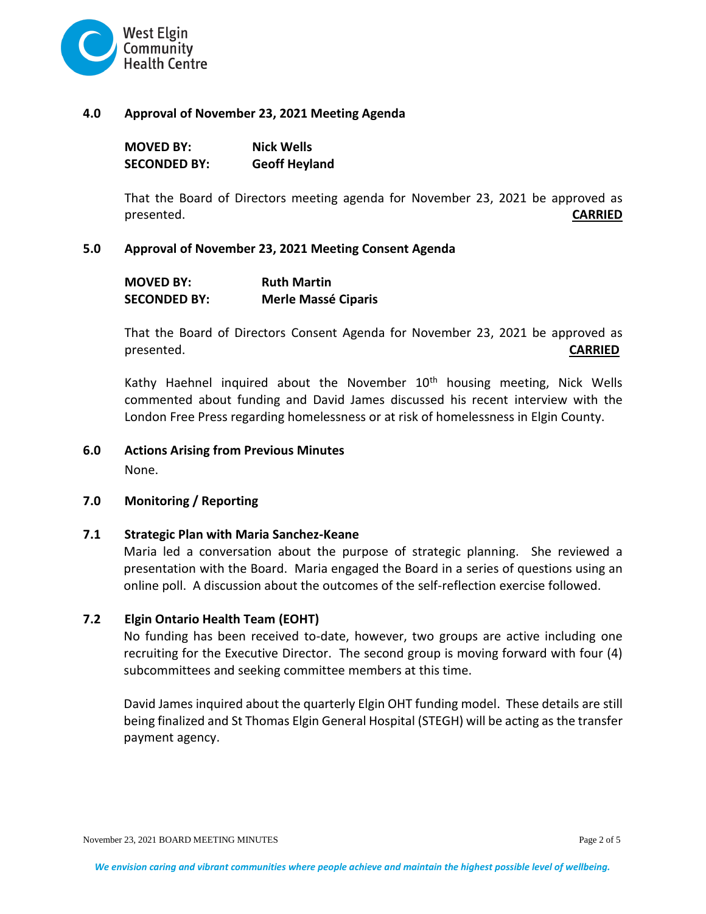

#### **4.0 Approval of November 23, 2021 Meeting Agenda**

| <b>MOVED BY:</b>    | <b>Nick Wells</b>    |
|---------------------|----------------------|
| <b>SECONDED BY:</b> | <b>Geoff Heyland</b> |

That the Board of Directors meeting agenda for November 23, 2021 be approved as presented. **CARRIED**

## **5.0 Approval of November 23, 2021 Meeting Consent Agenda**

| <b>MOVED BY:</b>    | <b>Ruth Martin</b>         |
|---------------------|----------------------------|
| <b>SECONDED BY:</b> | <b>Merle Massé Ciparis</b> |

That the Board of Directors Consent Agenda for November 23, 2021 be approved as presented. **CARRIED**

Kathy Haehnel inquired about the November  $10<sup>th</sup>$  housing meeting, Nick Wells commented about funding and David James discussed his recent interview with the London Free Press regarding homelessness or at risk of homelessness in Elgin County.

## **6.0 Actions Arising from Previous Minutes**

None.

#### **7.0 Monitoring / Reporting**

#### **7.1 Strategic Plan with Maria Sanchez-Keane**

Maria led a conversation about the purpose of strategic planning. She reviewed a presentation with the Board. Maria engaged the Board in a series of questions using an online poll. A discussion about the outcomes of the self-reflection exercise followed.

# **7.2 Elgin Ontario Health Team (EOHT)**

No funding has been received to-date, however, two groups are active including one recruiting for the Executive Director. The second group is moving forward with four (4) subcommittees and seeking committee members at this time.

David James inquired about the quarterly Elgin OHT funding model. These details are still being finalized and St Thomas Elgin General Hospital (STEGH) will be acting as the transfer payment agency.

November 23, 2021 BOARD MEETING MINUTES **Page 2 of 5** Page 2 of 5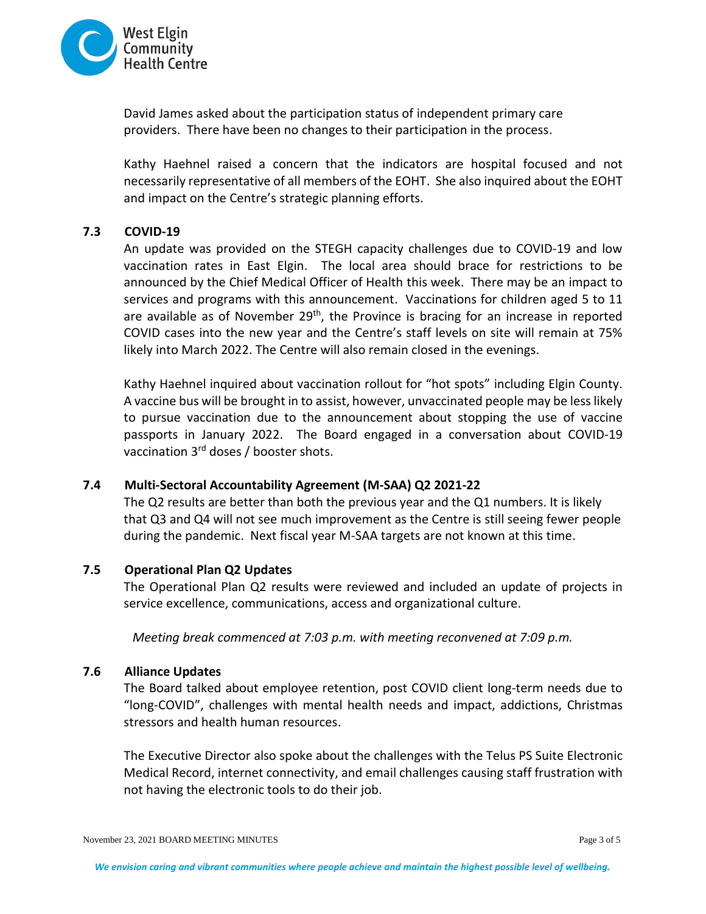

David James asked about the participation status of independent primary care providers. There have been no changes to their participation in the process.

Kathy Haehnel raised a concern that the indicators are hospital focused and not necessarily representative of all members of the EOHT. She also inquired about the EOHT and impact on the Centre's strategic planning efforts.

## **7.3 COVID-19**

An update was provided on the STEGH capacity challenges due to COVID-19 and low vaccination rates in East Elgin. The local area should brace for restrictions to be announced by the Chief Medical Officer of Health this week. There may be an impact to services and programs with this announcement. Vaccinations for children aged 5 to 11 are available as of November 29<sup>th</sup>, the Province is bracing for an increase in reported COVID cases into the new year and the Centre's staff levels on site will remain at 75% likely into March 2022. The Centre will also remain closed in the evenings.

Kathy Haehnel inquired about vaccination rollout for "hot spots" including Elgin County. A vaccine bus will be brought in to assist, however, unvaccinated people may be less likely to pursue vaccination due to the announcement about stopping the use of vaccine passports in January 2022. The Board engaged in a conversation about COVID-19 vaccination 3<sup>rd</sup> doses / booster shots.

# **7.4 Multi-Sectoral Accountability Agreement (M-SAA) Q2 2021-22**

The Q2 results are better than both the previous year and the Q1 numbers. It is likely that Q3 and Q4 will not see much improvement as the Centre is still seeing fewer people during the pandemic. Next fiscal year M-SAA targets are not known at this time.

#### **7.5 Operational Plan Q2 Updates**

The Operational Plan Q2 results were reviewed and included an update of projects in service excellence, communications, access and organizational culture.

*Meeting break commenced at 7:03 p.m. with meeting reconvened at 7:09 p.m.*

#### **7.6 Alliance Updates**

The Board talked about employee retention, post COVID client long-term needs due to "long-COVID", challenges with mental health needs and impact, addictions, Christmas stressors and health human resources.

The Executive Director also spoke about the challenges with the Telus PS Suite Electronic Medical Record, internet connectivity, and email challenges causing staff frustration with not having the electronic tools to do their job.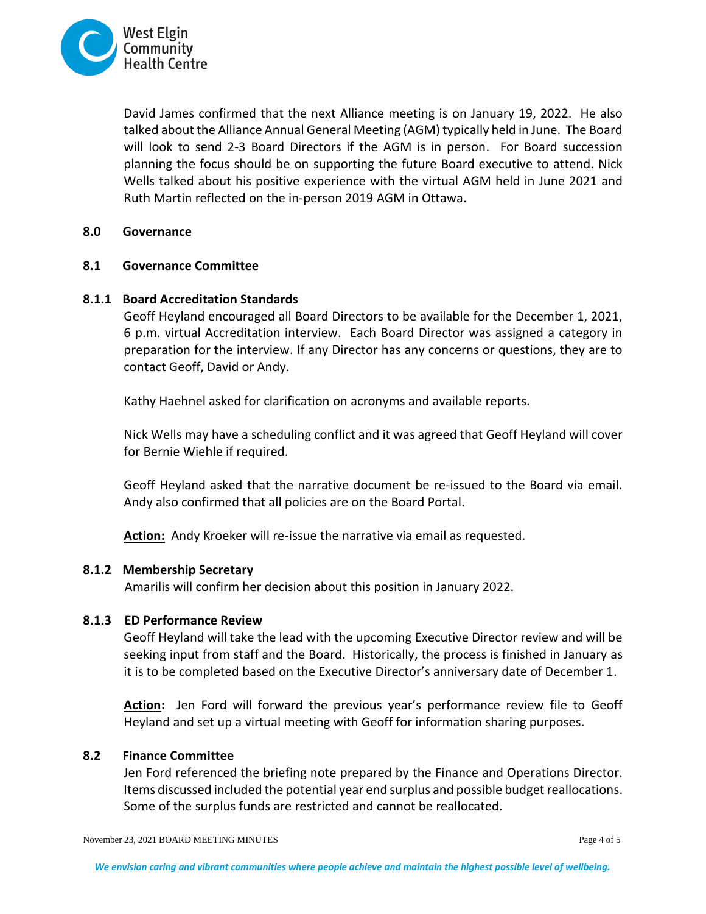

David James confirmed that the next Alliance meeting is on January 19, 2022. He also talked about the Alliance Annual General Meeting (AGM) typically held in June. The Board will look to send 2-3 Board Directors if the AGM is in person. For Board succession planning the focus should be on supporting the future Board executive to attend. Nick Wells talked about his positive experience with the virtual AGM held in June 2021 and Ruth Martin reflected on the in-person 2019 AGM in Ottawa.

## **8.0 Governance**

## **8.1 Governance Committee**

# **8.1.1 Board Accreditation Standards**

Geoff Heyland encouraged all Board Directors to be available for the December 1, 2021, 6 p.m. virtual Accreditation interview. Each Board Director was assigned a category in preparation for the interview. If any Director has any concerns or questions, they are to contact Geoff, David or Andy.

Kathy Haehnel asked for clarification on acronyms and available reports.

Nick Wells may have a scheduling conflict and it was agreed that Geoff Heyland will cover for Bernie Wiehle if required.

Geoff Heyland asked that the narrative document be re-issued to the Board via email. Andy also confirmed that all policies are on the Board Portal.

**Action:** Andy Kroeker will re-issue the narrative via email as requested.

#### **8.1.2 Membership Secretary**

Amarilis will confirm her decision about this position in January 2022.

#### **8.1.3 ED Performance Review**

Geoff Heyland will take the lead with the upcoming Executive Director review and will be seeking input from staff and the Board. Historically, the process is finished in January as it is to be completed based on the Executive Director's anniversary date of December 1.

**Action:** Jen Ford will forward the previous year's performance review file to Geoff Heyland and set up a virtual meeting with Geoff for information sharing purposes.

# **8.2 Finance Committee**

Jen Ford referenced the briefing note prepared by the Finance and Operations Director. Items discussed included the potential year end surplus and possible budget reallocations. Some of the surplus funds are restricted and cannot be reallocated.